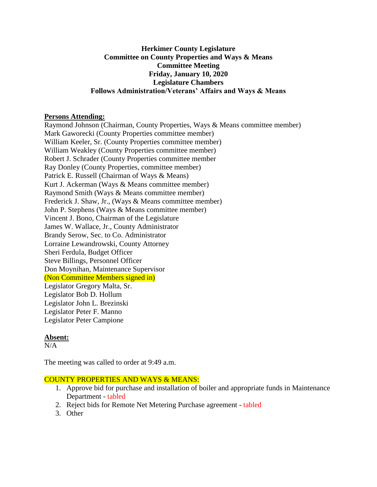## **Herkimer County Legislature Committee on County Properties and Ways & Means Committee Meeting Friday, January 10, 2020 Legislature Chambers Follows Administration/Veterans' Affairs and Ways & Means**

#### **Persons Attending:**

Raymond Johnson (Chairman, County Properties, Ways & Means committee member) Mark Gaworecki (County Properties committee member) William Keeler, Sr. (County Properties committee member) William Weakley (County Properties committee member) Robert J. Schrader (County Properties committee member Ray Donley (County Properties, committee member) Patrick E. Russell (Chairman of Ways & Means) Kurt J. Ackerman (Ways & Means committee member) Raymond Smith (Ways & Means committee member) Frederick J. Shaw, Jr., (Ways & Means committee member) John P. Stephens (Ways & Means committee member) Vincent J. Bono, Chairman of the Legislature James W. Wallace, Jr., County Administrator Brandy Serow, Sec. to Co. Administrator Lorraine Lewandrowski, County Attorney Sheri Ferdula, Budget Officer Steve Billings, Personnel Officer Don Moynihan, Maintenance Supervisor (Non Committee Members signed in) Legislator Gregory Malta, Sr. Legislator Bob D. Hollum Legislator John L. Brezinski Legislator Peter F. Manno Legislator Peter Campione

#### **Absent:**

 $N/A$ 

The meeting was called to order at 9:49 a.m.

#### COUNTY PROPERTIES AND WAYS & MEANS:

- 1. Approve bid for purchase and installation of boiler and appropriate funds in Maintenance Department - tabled
- 2. Reject bids for Remote Net Metering Purchase agreement tabled
- 3. Other